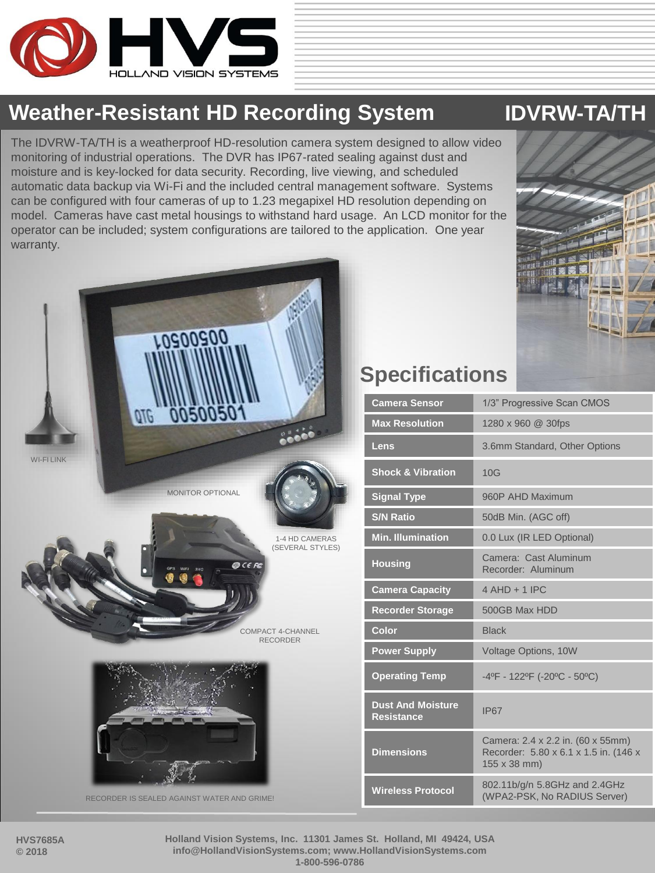

#### **Weather-Resistant HD Recording System IDVRW-TA/TH**

The IDVRW-TA/TH is a weatherproof HD-resolution camera system designed to allow video monitoring of industrial operations. The DVR has IP67-rated sealing against dust and moisture and is key-locked for data security. Recording, live viewing, and scheduled automatic data backup via Wi-Fi and the included central management software. Systems can be configured with four cameras of up to 1.23 megapixel HD resolution depending on model. Cameras have cast metal housings to withstand hard usage. An LCD monitor for the operator can be included; system configurations are tailored to the application. One year warranty.





## **Specifications**

| <b>Camera Sensor</b>                          | 1/3" Progressive Scan CMOS                                                                 |
|-----------------------------------------------|--------------------------------------------------------------------------------------------|
| <b>Max Resolution</b>                         | 1280 x 960 @ 30fps                                                                         |
| Lens                                          | 3.6mm Standard, Other Options                                                              |
| <b>Shock &amp; Vibration</b>                  | 10G                                                                                        |
| <b>Signal Type</b>                            | 960P AHD Maximum                                                                           |
| <b>S/N Ratio</b>                              | 50dB Min. (AGC off)                                                                        |
| <b>Min. Illumination</b>                      | 0.0 Lux (IR LED Optional)                                                                  |
| <b>Housing</b>                                | Camera: Cast Aluminum<br>Recorder: Aluminum                                                |
| <b>Camera Capacity</b>                        | $4 AHD + 1 IPC$                                                                            |
| <b>Recorder Storage</b>                       | 500GB Max HDD                                                                              |
| Color                                         | <b>Black</b>                                                                               |
| <b>Power Supply</b>                           | Voltage Options, 10W                                                                       |
| <b>Operating Temp</b>                         | -4ºF - 122ºF (-20°C - 50°C)                                                                |
| <b>Dust And Moisture</b><br><b>Resistance</b> | <b>IP67</b>                                                                                |
| <b>Dimensions</b>                             | Camera: 2.4 x 2.2 in. (60 x 55mm)<br>Recorder: 5.80 x 6.1 x 1.5 in. (146 x<br>155 x 38 mm) |
| <b>Wireless Protocol</b>                      | 802.11b/g/n 5.8GHz and 2.4GHz<br>(WPA2-PSK, No RADIUS Server)                              |